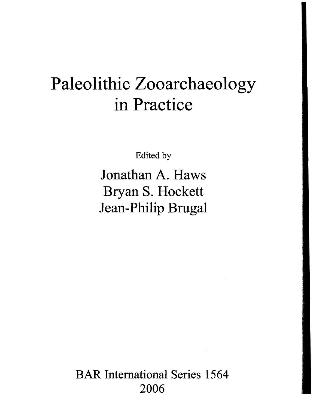# Paleolithic Zooarchaeology in Practice

Edited by

Jonathan A. Haws Bryan S. Hockett Jean-Philip Brugal

BAR International Series 1564 2006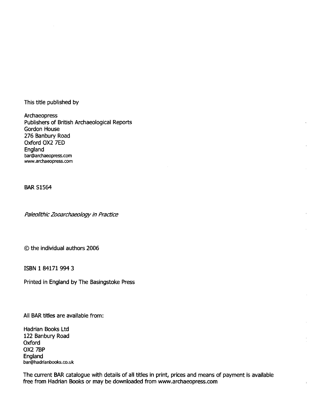This title published by

Archaeopress Publishers of British Archaeological Reports Gordon House 276 Banbury Road Oxford OX2 7ED England bar@archaeopress.com www.archaeopress.com

BAR 51564

Paleolithic Zooarchaeology in Practice

© the individual authors 2006

ISBN 1841719943

Printed in England by The Basingstoke Press

All BAR titles are available from:

Hadrian Books Ltd 122 Banbury Road Oxford OX27BP England bar@hadrianbooks.co.uk

The current BAR catalogue with details of all titles in print, prices and means of payment is available free from Hadrian Books or may be downloaded from www.archaeopress.com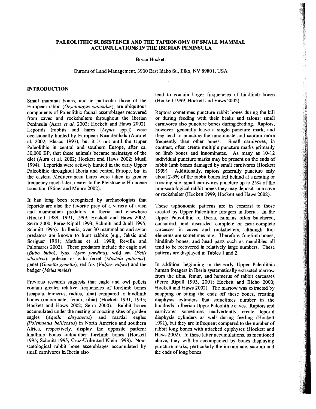# PALEOLITHIC SUBSISTENCE AND THE TAPHONOMY OF SMALL MAMMAL ACCUMULATIONS IN THE IBERIAN PENINSULA

Bryan Hockett

Bureau of Land Management, 3900 East Idaho St., Elko, NV 89801, USA

### INTRODUCTION

Small mammal bones, and in particular those of the European rabbit *(Oryctolagus cuniculus),* are ubiquitous components of Paleolithic faunal assemblages recovered from caves and rockshelters throughout the Iberian Peninsula (Aura *et al.* 2002; Hockett and Haws 2002). Leporids (rabbits and hares *[Lepus* spp.J) were occasionally hunted by European Neanderthals (Aura et aL 2002; Blasco 1997), but it is not until the Upper Paleolithic in central and southern Europe, after ca. 30,000 BP, that these animals became mainstays of the diet (Aura et a1. 2002; Hockett and Haws 2002; Musil 1994). Leporids were actively hunted in the early Upper Paleolithic throughout Iberia and central Europe, but in the eastern Mediterranean hares were taken in greater frequency much later, nearer to the Pleistocene-Holocene transition (Stiner and Munro 2002).

It has long been recognized by archaeologists that leporids are also the favorite prey of a variety of avian and mammalian predators in Iberia and elsewhere (Hockett 1989, 1991, 1999; Hockett and Haws 2002; Serra 2000; Perez-Ripoll 1993; Schmitt and Juell 1995; Schmitt 1995). In Iberia, over 30 mammalian and avian predators are known to hunt rabbits (e.g., laksic and Soriguer 1981; Mathias et al. 1998; Revilla and Palomares 2002). These predators include the eagle owl *(Bubo bubo),* lynx *(Lynx pardina)*, wild cat *(Felis silvestris)*, polecat or wild ferret *(Mustela putorius)*, genet *(Genetta genetta),* red fox *(Vulpes vulpes)* and the badger *(Meles meles).* 

Previous research suggests that eagle and owl pellets contain greater relative frequencies of forelimb bones (scapula, humerus, radius, ulna) compared to hindlimb bones (innominate, femur, tibia) (Hockett 1991, 1995; Hockett and Haws 2002; Serra 2000). Rabbit bones accumulated under the nesting or roosting sites of golden eagles *(Aquila chrysaetos)* and martial eagles *(Polemaetus bellicosus)* in North America and southern Africa, respectively, display the opposite pattern: hindlimb bones outnumber forelimb bones (Hockett 1995; Schmitt 1995; Cruz-Uribe and Klein 1998). Nonscatological rabbit bone assemblages accumulated by small carnivores in Iberia also

tend to contain larger frequencies of hindlimb bones (Hockett 1999; Hockett and Haws 2002).

Raptors sometimes puncture rabbit bones during the kill or during feeding with their beaks and talons; small carnivores also puncture bones during feeding. Raptors, however, generally leave a single puncture mark, and they tend to puncture the innominate and sacrum more frequently than other bones. Small carnivores, in contrast, often create multiple puncture marks primarily on limb bones and innominates. As many as 10-12 individual puncture marks may be present on the ends of rabbit limb bones damaged by small carnivores (Hockett 1999). Additionally, raptors generally puncture only about 2-3% of the rabbit bones left behind at a nesting or roosting site; small carnivores puncture up to 25% of the non-scatological rabbit bones they may deposit in a cave or rockshelter (Hockett 1999; Hockett and Haws 2002).

These taphonomic patterns are in contrast to those created by Upper Paleolithic foragers in Iberia. In the Upper Paleolithic of Iberia, humans often butchered, consumed, and discarded complete or near-complete carcasses in caves and rockshelters, although foot elements are sometimes rare. Therefore, forelimb bones, hindlimb bones, and head parts such as mandibles all tend to be recovered in relatively large numbers. These patterns are displayed in Tables I and 2.

In addition, beginning in the early Upper Paleolithic human foragers in Iberia systematically extracted marrow from the tibia, femur, and humerus of rabbit carcasses (Perez Ripoll 1993, 2001; Hockett and Bicho 2000; Hockett and Haws 2002). The marrow was extracted by snapping or biting the ends off these bones, creating diaphysis cylinders that sometimes number in the hundreds in Iberian Upper Paleolithic caves. Raptors and carnivores sometimes inadvertently create leporid diaphysis cylinders as well during feeding (Hockett 1991), but they are infrequent compared to the number of rabbit long bones with attached epiphyses (Hockett and Haws 2002). In these latter accumulations, as mentioned above, they will be accompanied by bones displaying puncture marks, particularly the innominate, sacrum and the ends of long bones.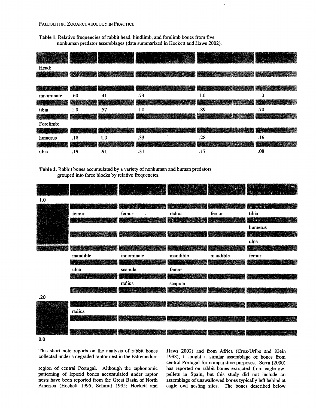## PALEOLITHIC ZOOARCHAEOLOGY IN PRACTICE

Table 1. Relative frequencies of rabbit head, hindlimb, and forelimb bones from five nonhuman predator assemblages (data swmnarized in Hockett and Haws 2002).

| Head:           |     |     |     |     |     |
|-----------------|-----|-----|-----|-----|-----|
| <b>REEVISOR</b> |     |     | 羅   |     |     |
| 變印              |     |     |     |     |     |
| innominate      | .60 | .41 | .73 | 1.0 | 1.0 |
| Æ.              |     |     |     |     |     |
| tibia           | 1.0 | .57 | 1.0 | .89 | .70 |
| <b>STAR</b>     |     |     |     |     |     |
| Forelimb:       |     |     |     |     |     |
|                 |     |     | V.  |     |     |
| humerus         | .18 | 1.0 | .33 | .28 | .16 |
|                 |     |     |     |     |     |
| ulna            | .19 | .91 | .31 | .17 | .08 |

Table 2. Rabbit bones accumulated by a variety of nonhuman and human predators grouped into three blocks by relative frequencies.



0.0

This short note reports on the analysis of rabbit bones collected under a degraded raptor nest in the Estremadura

region of central Portugal. Although the taphonomic patterning of leporid bones accumulated under raptor nests have been reported from the Great Basin of North America (Hockett 1995; Schmitt 1995; Hockett and

Haws 2002) and from Africa (Cruz-Uribe and Klein 1998), I sought a similar assemblage of bones from central Portugal for comparative purposes. Serra (2000) has reported on rabbit bones extracted from eagle owl pellets in Spain, but this study did not include an assemblage of unswallowed bones typically left behind at eagle owl nesting sites. The bones described below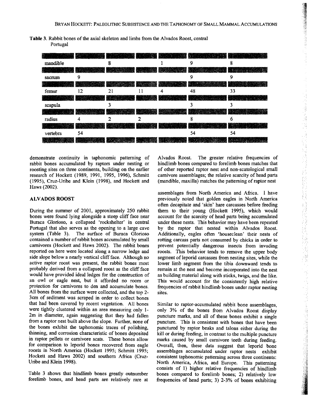**Table 3.** Rabbit bones of the axial skeleton and limbs from the Alvados Roost, central Portugal

| le 3. Rabbit bones of the axial skeleton and limbs from the Alvados Roost, central<br>Portugal |    |    |                      |   |    |    |  |  |  |
|------------------------------------------------------------------------------------------------|----|----|----------------------|---|----|----|--|--|--|
|                                                                                                |    |    |                      |   |    |    |  |  |  |
| mandible                                                                                       |    | 8  |                      |   | 9  | 8  |  |  |  |
|                                                                                                |    |    | <b>REAL PROPERTY</b> |   |    |    |  |  |  |
| sacrum                                                                                         | 9  |    |                      |   | 9  | 9  |  |  |  |
|                                                                                                |    |    |                      |   |    |    |  |  |  |
| femur                                                                                          | 12 | 21 | 11                   | 4 | 48 | 33 |  |  |  |
|                                                                                                |    |    |                      |   |    |    |  |  |  |
| scapula                                                                                        |    | 3  |                      |   | ٠  | 3  |  |  |  |
| en de 1990.<br>Dublike St                                                                      |    |    |                      |   |    |    |  |  |  |
| radius                                                                                         | 4  |    | 2                    |   | 8  | 6  |  |  |  |
| æ.                                                                                             |    |    |                      |   |    |    |  |  |  |
| vertebra                                                                                       | 54 |    |                      |   | 54 | 54 |  |  |  |
|                                                                                                |    |    |                      |   |    |    |  |  |  |

demonstrate continuity in taphonomic patterning of rabbit bones accumulated by raptors under nesting or roosting sites on three continents, building on the earlier research of Hockett (1989, 1991, 1995, 1996), Schmitt (1995), Cruz-Uribe and Klein (1998), and Hockett and Haws (2002).

# **ALVADOS ROOST**

During the summer of 2001, approximately 250 rabbit bones were found lying alongside a steep cliff face near Buraca Glorioso, a collapsed 'rockshelter' in central Portugal that also serves as the opening to a large cave system (Table 3). The surface of Buraca Glorioso contained a number of rabbit bones accumulated by small carnivores (Hockett and Haws 2002). The rabbit bones reported on here were located along a narrow ledge and side slope below a nearly vertical cliff face. Although no active raptor roost was present, the rabbit bones most probably derived from a collapsed roost as the cliff face would have provided ideal ledges for the construction of an owl or eagle nest, but it afforded no room or protection for carnivores to den and accumulate bones. All bones from the surface were collected, and the top 2 3cm of sediment was scraped in order to collect bones that had been covered by recent vegetation. All bones were tightly clustered within an area measuring only 1 2m in diameter, again suggesting that they had fallen from a raptor nest built above the slope. Further, none of the bones exhibit the taphonomic traces of polishing, thinning, and corrosion characteristic of bones deposited in raptor pellets or carnivore scats. These bones allow for comparison to leporid bones recovered from eagle roosts in North America (Hockett 1995; Schmitt 1995; Hockett and Haws 2002) and southern Africa (Cruz-Uribe and Klein 1998).

Table 3 shows that hindlimb bones greatly outnumber forelimb bones, and head parts are relatively rare at Alvados Roost. The greater relative frequencies of hindlimb bones compared to forelimb bones matches that of other reported raptor nest and non-scatological small carnivore assemblages; the relative scarcity of head parts (mandible, maxilla) matches the patterning of raptor nest

assemblages from North America and Africa. I have previously noted that golden eagles in North America often decapitate and 'skin' hare carcasses before feeding them to their young (Hockett 1995), which would account for the scarcity of head parts being accumulated under these nests. This behavior may have been repeated by the raptor that nested within Alvados Roost. Additionally, eagles often 'houseclean' their nests of rotting carcass parts not consumed by chicks in order to prevent potentially dangerous insects from invading roosts. This behavior tends to remove the upper body segment of leporid carcasses from nesting sites, while the lower limb segment from the tibia downward tends to remain at the nest and become incorporated into the nest as building material along with sticks, twigs, and the like. This would account for the consistently high relative frequencies of rabbit hindlimb bones under raptor nesting sites.

Similar to raptor-accumulated rabbit bone assemblages, only 3% of the bones from Alvados Roost display puncture marks, and all of these bones exhibit a single puncture. This is consistent with bones that have been punctured by raptor beaks and talons either during the kill or during feeding, in contrast to the multiple puncture marks caused by small carnivore teeth during feeding. Overall, then, these data suggest that leporid bone assemblages accumulated under raptor nests exhibit consistent taphonomic patterning across three continents: North America, Africa, and Europe. This patterning consists of 1) higher relative frequencies of hindlimb bones compared to forelimb bones; 2) relatively low frequencies of head parts; 3) 2-3% of bones exhibiting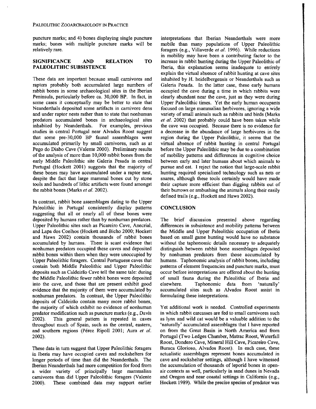puncture marks; and 4) bones displaying single puncture marks; bones with multiple puncture marks will be relatively rare.

## **SIGNIFICANCE AND RELATION TO PALEOLITHIC** SUBSISTENCE

These data are important because small carnivores and raptors probably both accumulated large numbers of rabbit bones in some archaeological sites in the Iberian Peninsula, particularly before ca. 30,000 BP. In fact, in some cases it conceptually may be better to state that Neanderthals deposited some artifacts in carnivore dens and under raptor nests rather than to state that nonhuman predators accumulated bones in archaeological sites inhabited by Neanderthals. For examples, previous studies in central Portugal near Alvados Roost suggest that some pre-30,000 BP faunal assemblages were accumulated primarily by small carnivores, such as at Pego do Diabo Cave (Valente 2000). Preliminary results of the analysis of more than 10,000 rabbit bones from the early Middle Paleolithic site Galeria Pesada in central Portugal (Hockett 2001) suggests that the majority of these bones may have accumulated under a raptor nest, despite the fact that large mammal bones cut by stone tools and hundreds of lithic artifacts were found amongst the rabbit bones (Marks *et al.* 2002).

In contrast, rabbit bone assemblages dating to the Upper Paleolithic in Portugal consistently display patterns suggesting that all or nearly all of these bones were deposited by humans rather than by nonhuman predators. Upper Paleolithic sites such as Picareiro Cave, Anecrial, and Lapa dos Coelhos (Hockett and Bicho 2000; Hockett and Haws 2002) contain thousands of rabbit bones accumulated by humans. There is scant evidence that nonhwnan predators occupied these caves and deposited rabbit bones within them when they were unoccupied by Upper Paleolithic foragers. Central Portuguese caves that contain both Middle Paleolithic and Upper Paleolithic deposits such as Caldeirão Cave tell the same tale: during the Middle Paleolithic fewer rabbit bones were deposited into the cave, and those that are present exhibit good evidence that the majority of them were accumulated by nonhuman predators. In contrast, the Upper Paleolithic deposits of Caldeirão contain many more rabbit bones, the majority of which exhibit no evidence of nonhuman predator modification such as puncture marks (e.g., Davis 2002). This general pattern is repeated in caves throughout much of Spain, such as the central, eastern, and southern regions (Pérez Ripoll 2001; Aura et al. 2002).

These data in turn suggest that Upper Paleolithic foragers in Iberia may have occupied caves and rockshelters for longer periods of time than did the Neanderthals. The Iberian Neanderthals had more competition for food from a wider variety of principally large mammalian carnivores than did Upper Paleolithic foragers (Valente 2000). These combined data may support earlier

interpretations that Iberian Neanderthals were more mobile than many populations of Upper Paleolithic foragers (e.g., Villaverde *et al.* 1996). While reductions in mobility may have been a contributing factor to the increase in rabbit hunting during the Upper Paleolithic of Iberia, this explanation seems inadequate to entirely explain the virtual absence of rabbit hunting at cave sites inhabited by H. heidelbergensis or Neanderthals such as Galeria Pesada. In the latter case, these early humans occupied the cave during a time in which rabbits were clearly abundant near the cave, just as they were during Upper Paleolithic times. Yet the early human occupants focused on large mammalian herbivores, ignoring a wide variety of small animals such as rabbits and birds (Marks *et al.* 2002) that probably could have been taken while the cave was occupied. Because there is no evidence for a decrease in the abundance of large herbivores in the region during the Upper Paleolithic, it seems that the virtual absence of rabbit hunting in central Portugal before the Upper Paleolithic may be due to a combination of mobility patterns and differences in cognitive choice between early and later humans about which animals to pursue and eat. I reject the notion that large-scale rabbit hunting required specialized technology such as nets or snares, although these tools certainly would have made their capture more efficient than digging rabbits out of their burrows or ambushing the animals along their easily detined trails (e.g., Hockett and Haws 2002).

## **CONCLUSION**

The brief discussion presented above regarding differences in subsistence and mobility pattems between the Middle and Upper Paleolithic occupation of Iberia based on small game hunting would have no substance without the taphonomic details necessary to adequately distinguish between rabbit bone assemblages deposited by nonhuman predators from those accumulated by humans. Taphonomic analysis of rabbit bones, including patterns of element frequencies and puncture marks, must occur before interpretations are offered about the hunting of small fauna during the Paleolithic of Iberia and<br>elsewhere. Taphonomic data from 'naturally' Taphonomic data from 'naturally' accumulated sites such as Alvados Roost assist in formulating these interpretations.

Yet additional work is needed. Controlled experiments in which rabbit carcasses are fed to small carnivores such as lynx and wild cat would be a valuable addition to the 'naturally' accumulated assemblages that I have reported on from the Great Basin in North America and from Portugal (Two Ledges Chamber, Matrac Roost, Waterfall Roost, Dondero Cave, Mineral Hill Cave, Picareiro Cave, Buraca Glorioso, Alvados Roost). In each case, these actualistic assemblages represent bones accumulated in cave and rockshelter settings, although I have witnessed the accumulation of thousands of leporid bones in openair contexts as well, particularly in sand dunes in Nevada and Oregon and near coastal settings in California (e.g., Hockett 1989). While the precise species of predator was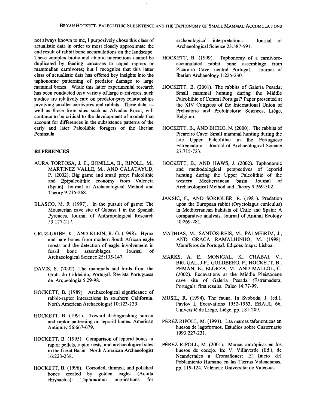not always known to me, I purposively chose this class of actualistic data in order to most closely approximate the end result of rabbit bone accumulations on the landscape. These complex biotic and abiotic interactions cannot be duplicated by feeding carcasses to caged raptors or mammalian carnivores; but I recognize that this latter class of actualistic data has offered key insights into the taphonomic patterning of predator damage to large mammal bones. While this latter experimental research has been conducted on a variety of large carnivores, such studies are relatively rare on predator-prey relationships involving smaller carnivores and rabbits. These data, as well as those from sites such as A1vados Roost, will continue to be critical to the development of models that account for differences in the subsistence patterns of the early and later Paleolithic foragers of the Iberian Peninsula.

#### **REFERENCES**

- AURA TORTOSA, 1. E., BONILLA, B., RlPOLL, M., MARTINEZ VALLE, M., AND CALATAYUD, P. (2002). Big game and small prey: Paleolithic and Epipaleolithic economy from Valencia (Spain). Journal of Archaeological Method and Theory 9:215-268.
- BLASCO, M. F. (1997). In the pursuit of game: The Mousterian cave site of Gabasa I in the Spanish Pyrenees. Journal of Anthropological Research 53: 177-217.
- CRUZ-URIBE, K., AND KLEIN, R. G. (1998). Hyrax and hare bones from modern South African eagle roosts and the detection of eagle involvement in fossil bone assemblages. Journal of Archaeological Science 25:135-147.
- DAVIS, S. (2002). The mammals and birds from the Gruta do Caldeirao, Portugal. Revista Portuguesa de Arqueologia 5:29-98.
- HOCKETT, B. (1989). Archaeological significance of rabbit-raptor interactions in southern California. North American Archaeologist 10:123-139.
- HOCKETT, B. (1991). Toward distinguishing human and raptor patterning on leporid bones. American Antiquity 56:667-679.
- HOCKETT, B. (1995). Comparison of leporid bones in raptor pellets, raptor nests, and archaeological sites in the Great Basin. North American Archaeologist 16:223-238.
- HOCKETT, B. (1996). Corroded, thinned, and polished bones created by golden eagles (Aquila cbrysaetos): Taphonomic implications for

archaeological interpretations. Journal of Archaeological Science 23:587-591.

- HOCKETT, B. (1999). Taphonomy of a carnivoreaccumulated rabbit bone assemblage from Picareiro Cave, central Portugal. Journal of Iberian Archaeology 1:225-230.
- HOCKETT, B. (2001). The rabbits of Galeria Pesada: Small mammal hunting during the Middle Paleolithic of Central Portugal? Paper presented at the XIV Congress of the International Union of Prehistoric and Protohistoric Sciences, Liège, Belgium.
- HOCKETT, R, AND BICHO, N. (2000). The rabbits of Picareiro Cave: Small mammal hunting during the late Upper Paleolithic in the Portuguese Estremadura. Journal of Archaeological Science 27:715-723.
- HOCKETT, B., AND HAWS, J. (2002). Taphonomic and methodological perspectives of leporid hunting during the Upper Paleolithic of the western Mediterranean basin. Journal of western Mediterranean basin. Journal of Archaeological Method and Theory 9:269-302.
- JAKSIC, F., AND SORIGUER, R. (1981). Predation upon the European rabbit (Oryctolagus cuniculus) in Mediterranean habitats of Chile and Spain: A comparative analysis. Journal of Animal Ecology 50:269-281.
- MATHIAS, M., SANTOS-REIS, M., PALMEIRIM, J., AND GRACA RAMALHINHO, M. (1998). Mamíferos de Portugal. Edições Inapa: Lisboa.
- MARKS, A. E., MONIGAL, K., CHABAI, V., BRUGAL, J-P., GOLDBERG, P., HOCKETT, R, PEMAN, E., ELORZA, M., AND MALLOL, C. (2002). Excavations at the Middle Pleistocene cave site of Galeria Pesada (Estremadura, Portugal): first results. Paleo 14:77-99.
- MUSIL, R. (1994). The fauna. In Svoboda, J. (ed.), Pavlov I, Excavations 1952-1953, ERAUL 66, Universite de Liege, Liege, pp. 181-209.
- PEREZ RIPOLL, M. (1993). Las marcas tafonomicas en huesos de lagoformos. Estudios sobre Cuaternario 1993:227-231.
- PÉREZ RIPOLL, M. (2001). Marcas antrópicas en los huesos de conejo. In: V. Villaverde (Ed.), de Neandertales a Cromafiones: EI Inicio del Poblamiento Humano en las Tierras Valencianas, pp. 119-124. Valencia: Universitat de Valencia.